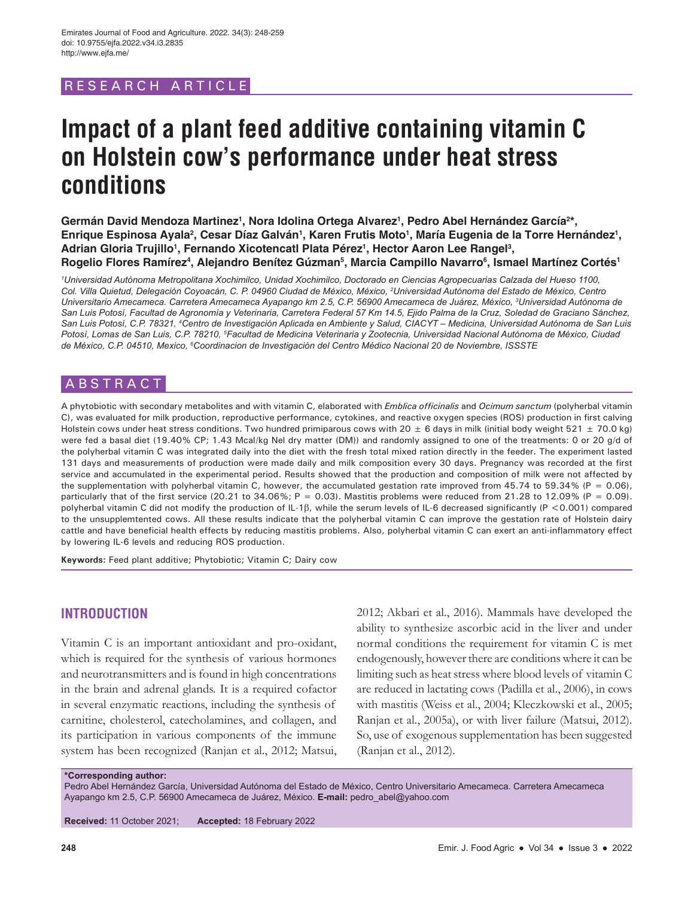# RESEARCH ARTICLE

# **Impact of a plant feed additive containing vitamin C on Holstein cow's performance under heat stress conditions**

Germán David Mendoza Martinez<sup>1</sup>, Nora Idolina Ortega Alvarez<sup>1</sup>, Pedro Abel Hernández García<sup>2\*</sup>, Enrique Espinosa Ayala<sup>2</sup>, Cesar Díaz Galván<sup>ı</sup>, Karen Frutis Moto<sup>ı</sup>, María Eugenia de la Torre Hernández<sup>ı</sup>, Adrian Gloria Trujillo<sup>1</sup>, Fernando Xicotencatl Plata Pérez<sup>1</sup>, Hector Aaron Lee Rangel<sup>3</sup>, **Rogelio Flores Ramírez4 , Alejandro Benítez Gúzman5 , Marcia Campillo Navarro6 , Ismael Martínez Cortés1**

*1 Universidad Autónoma Metropolitana Xochimilco, Unidad Xochimilco, Doctorado en Ciencias Agropecuarias Calzada del Hueso 1100, Col. Villa Quietud, Delegación Coyoacán, C. P. 04960 Ciudad de México, México, 2 Universidad Autónoma del Estado de México, Centro Universitario Amecameca. Carretera Amecameca Ayapango km 2.5, C.P. 56900 Amecameca de Juárez, México, 3 Universidad Autónoma de San Luis Potosí, Facultad de Agronomía y Veterinaria, Carretera Federal 57 Km 14.5, Ejido Palma de la Cruz, Soledad de Graciano Sánchez,*  San Luis Potosí, C.P. 78321, <sup>4</sup>Centro de Investigación Aplicada en Ambiente y Salud, CIACYT – Medicina, Universidad Autónoma de San Luis *Potosí, Lomas de San Luis, C.P. 78210, 5 Facultad de Medicina Veterinaria y Zootecnia, Universidad Nacional Autónoma de México, Ciudad de México, C.P. 04510, Mexico, 6 Coordinacion de Investigación del Centro Médico Nacional 20 de Noviembre, ISSSTE*

## **ABSTRACT**

A phytobiotic with secondary metabolites and with vitamin C, elaborated with *Emblica officinalis* and *Ocimum sanctum* (polyherbal vitamin C), was evaluated for milk production, reproductive performance, cytokines, and reactive oxygen species (ROS) production in first calving Holstein cows under heat stress conditions. Two hundred primiparous cows with 20  $\pm$  6 days in milk (initial body weight 521  $\pm$  70.0 kg) were fed a basal diet (19.40% CP; 1.43 Mcal/kg Nel dry matter (DM)) and randomly assigned to one of the treatments: 0 or 20 g/d of the polyherbal vitamin C was integrated daily into the diet with the fresh total mixed ration directly in the feeder. The experiment lasted 131 days and measurements of production were made daily and milk composition every 30 days. Pregnancy was recorded at the first service and accumulated in the experimental period. Results showed that the production and composition of milk were not affected by the supplementation with polyherbal vitamin C, however, the accumulated gestation rate improved from 45.74 to 59.34% (P = 0.06), particularly that of the first service (20.21 to 34.06%;  $P = 0.03$ ). Mastitis problems were reduced from 21.28 to 12.09% ( $P = 0.09$ ). polyherbal vitamin C did not modify the production of IL-1β, while the serum levels of IL-6 decreased significantly (P <0.001) compared to the unsupplemtented cows. All these results indicate that the polyherbal vitamin C can improve the gestation rate of Holstein dairy cattle and have beneficial health effects by reducing mastitis problems. Also, polyherbal vitamin C can exert an anti-inflammatory effect by lowering IL-6 levels and reducing ROS production.

**Keywords:** Feed plant additive; Phytobiotic; Vitamin C; Dairy cow

# **INTRODUCTION**

Vitamin C is an important antioxidant and pro-oxidant, which is required for the synthesis of various hormones and neurotransmitters and is found in high concentrations in the brain and adrenal glands. It is a required cofactor in several enzymatic reactions, including the synthesis of carnitine, cholesterol, catecholamines, and collagen, and its participation in various components of the immune system has been recognized (Ranjan et al., 2012; Matsui, 2012; Akbari et al., 2016). Mammals have developed the ability to synthesize ascorbic acid in the liver and under normal conditions the requirement for vitamin C is met endogenously, however there are conditions where it can be limiting such as heat stress where blood levels of vitamin C are reduced in lactating cows (Padilla et al., 2006), in cows with mastitis (Weiss et al., 2004; Kleczkowski et al., 2005; Ranjan et al., 2005a), or with liver failure (Matsui, 2012). So, use of exogenous supplementation has been suggested (Ranjan et al., 2012).

#### **\*Corresponding author:**

Pedro Abel Hernández García, Universidad Autónoma del Estado de México, Centro Universitario Amecameca. Carretera Amecameca Ayapango km 2.5, C.P. 56900 Amecameca de Juárez, México. **E-mail:** pedro\_abel@yahoo.com

**Received:** 11 October 2021; **Accepted:** 18 February 2022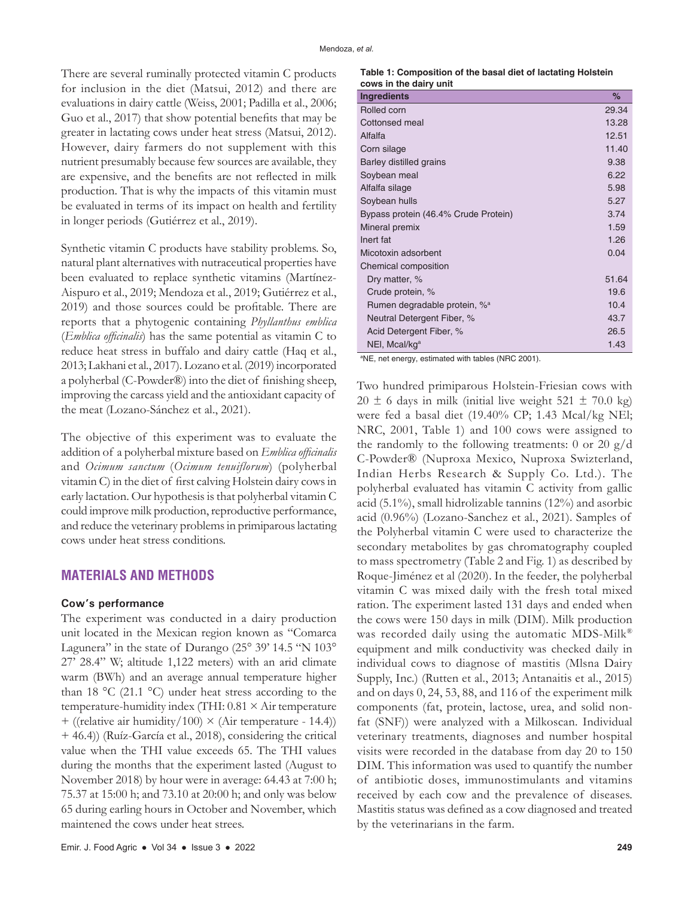There are several ruminally protected vitamin C products for inclusion in the diet (Matsui, 2012) and there are evaluations in dairy cattle (Weiss, 2001; Padilla et al., 2006; Guo et al., 2017) that show potential benefits that may be greater in lactating cows under heat stress (Matsui, 2012). However, dairy farmers do not supplement with this nutrient presumably because few sources are available, they are expensive, and the benefits are not reflected in milk production. That is why the impacts of this vitamin must be evaluated in terms of its impact on health and fertility in longer periods (Gutiérrez et al., 2019).

Synthetic vitamin C products have stability problems. So, natural plant alternatives with nutraceutical properties have been evaluated to replace synthetic vitamins (Martínez-Aispuro et al., 2019; Mendoza et al., 2019; Gutiérrez et al., 2019) and those sources could be profitable. There are reports that a phytogenic containing *Phyllanthus emblica* (*Emblica officinalis*) has the same potential as vitamin C to reduce heat stress in buffalo and dairy cattle (Haq et al., 2013; Lakhani et al., 2017). Lozano et al. (2019) incorporated a polyherbal (C-Powder®) into the diet of finishing sheep, improving the carcass yield and the antioxidant capacity of the meat (Lozano-Sánchez et al., 2021).

The objective of this experiment was to evaluate the addition of a polyherbal mixture based on *Emblica officinalis* and *Ocimum sanctum* (*Ocimum tenuiflorum*) (polyherbal vitamin C) in the diet of first calving Holstein dairy cows in early lactation. Our hypothesis is that polyherbal vitamin C could improve milk production, reproductive performance, and reduce the veterinary problems in primiparous lactating cows under heat stress conditions.

# **MATERIALS AND METHODS**

#### **Cow's performance**

The experiment was conducted in a dairy production unit located in the Mexican region known as "Comarca Lagunera" in the state of Durango (25° 39' 14.5 "N 103° 27' 28.4" W; altitude 1,122 meters) with an arid climate warm (BWh) and an average annual temperature higher than 18 °C (21.1 °C) under heat stress according to the temperature-humidity index (THI:  $0.81 \times$  Air temperature + ((relative air humidity/100)  $\times$  (Air temperature - 14.4)) + 46.4)) (Ruíz-García et al., 2018), considering the critical value when the THI value exceeds 65. The THI values during the months that the experiment lasted (August to November 2018) by hour were in average: 64.43 at 7:00 h; 75.37 at 15:00 h; and 73.10 at 20:00 h; and only was below 65 during earling hours in October and November, which maintened the cows under heat strees.

| Table 1: Composition of the basal diet of lactating Holstein |  |  |
|--------------------------------------------------------------|--|--|
| cows in the dairy unit                                       |  |  |

| <b>Ingredients</b>                       | %     |
|------------------------------------------|-------|
| Rolled corn                              | 29.34 |
| Cottonsed meal                           | 13.28 |
| Alfalfa                                  | 12.51 |
| Corn silage                              | 11.40 |
| Barley distilled grains                  | 9.38  |
| Soybean meal                             | 6.22  |
| Alfalfa silage                           | 5.98  |
| Soybean hulls                            | 5.27  |
| Bypass protein (46.4% Crude Protein)     | 3.74  |
| Mineral premix                           | 1.59  |
| Inert fat                                | 1.26  |
| Micotoxin adsorbent                      | 0.04  |
| Chemical composition                     |       |
| Dry matter, %                            | 51.64 |
| Crude protein, %                         | 19.6  |
| Rumen degradable protein, % <sup>a</sup> | 10.4  |
| Neutral Detergent Fiber, %               | 43.7  |
| Acid Detergent Fiber, %                  | 26.5  |
| NEI, Mcal/kg <sup>a</sup>                | 1.43  |

a NE, net energy, estimated with tables (NRC 2001).

Two hundred primiparous Holstein-Friesian cows with  $20 \pm 6$  days in milk (initial live weight 521  $\pm$  70.0 kg) were fed a basal diet (19.40% CP; 1.43 Mcal/kg NEl; NRC, 2001, Table 1) and 100 cows were assigned to the randomly to the following treatments: 0 or 20  $g/d$ C-Powder® (Nuproxa Mexico, Nuproxa Swizterland, Indian Herbs Research & Supply Co. Ltd.). The polyherbal evaluated has vitamin C activity from gallic acid (5.1%), small hidrolizable tannins (12%) and asorbic acid (0.96%) (Lozano-Sanchez et al., 2021). Samples of the Polyherbal vitamin C were used to characterize the secondary metabolites by gas chromatography coupled to mass spectrometry (Table 2 and Fig. 1) as described by Roque-Jiménez et al (2020). In the feeder, the polyherbal vitamin C was mixed daily with the fresh total mixed ration. The experiment lasted 131 days and ended when the cows were 150 days in milk (DIM). Milk production was recorded daily using the automatic MDS-Milk® equipment and milk conductivity was checked daily in individual cows to diagnose of mastitis (Mlsna Dairy Supply, Inc.) (Rutten et al., 2013; Antanaitis et al., 2015) and on days 0, 24, 53, 88, and 116 of the experiment milk components (fat, protein, lactose, urea, and solid nonfat (SNF)) were analyzed with a Milkoscan. Individual veterinary treatments, diagnoses and number hospital visits were recorded in the database from day 20 to 150 DIM. This information was used to quantify the number of antibiotic doses, immunostimulants and vitamins received by each cow and the prevalence of diseases. Mastitis status was defined as a cow diagnosed and treated by the veterinarians in the farm.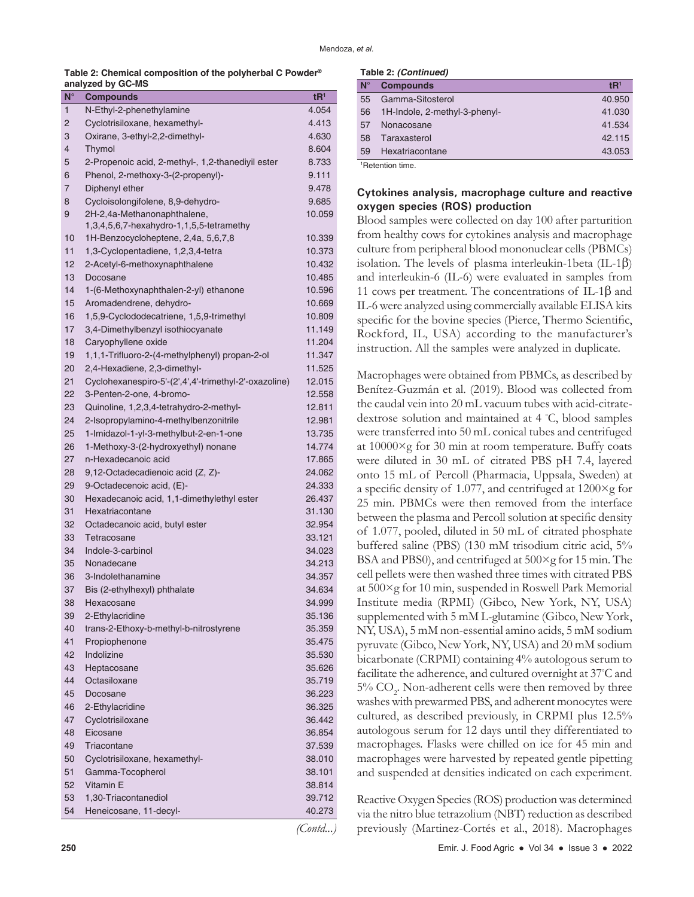| Table 2: Chemical composition of the polyherbal C Powder <sup>®</sup> |  |  |
|-----------------------------------------------------------------------|--|--|
| analyzed by GC-MS                                                     |  |  |

| $N^{\circ}$ | <b>Compounds</b>                                      | tR <sup>1</sup>  |
|-------------|-------------------------------------------------------|------------------|
| 1           | N-Ethyl-2-phenethylamine                              | 4.054            |
| 2           | Cyclotrisiloxane, hexamethyl-                         | 4.413            |
| 3           | Oxirane, 3-ethyl-2,2-dimethyl-                        | 4.630            |
| 4           | Thymol                                                | 8.604            |
| 5           | 2-Propenoic acid, 2-methyl-, 1,2-thanediyil ester     | 8.733            |
| 6           | Phenol, 2-methoxy-3-(2-propenyl)-                     | 9.111            |
| 7           | Diphenyl ether                                        | 9.478            |
| 8           | Cycloisolongifolene, 8,9-dehydro-                     | 9.685            |
| 9           | 2H-2,4a-Methanonaphthalene,                           | 10.059           |
|             | 1,3,4,5,6,7-hexahydro-1,1,5,5-tetramethy              |                  |
| 10          | 1H-Benzocycloheptene, 2,4a, 5,6,7,8                   | 10.339           |
| 11          | 1,3-Cyclopentadiene, 1,2,3,4-tetra                    | 10.373           |
| 12          | 2-Acetyl-6-methoxynaphthalene                         | 10.432           |
| 13          | Docosane                                              | 10.485           |
| 14          | 1-(6-Methoxynaphthalen-2-yl) ethanone                 | 10.596           |
| 15          | Aromadendrene, dehydro-                               | 10.669           |
| 16          | 1,5,9-Cyclododecatriene, 1,5,9-trimethyl              | 10.809           |
| 17          | 3,4-Dimethylbenzyl isothiocyanate                     | 11.149           |
| 18          | Caryophyllene oxide                                   | 11.204           |
| 19          | 1,1,1-Trifluoro-2-(4-methylphenyl) propan-2-ol        | 11.347           |
| 20          | 2,4-Hexadiene, 2,3-dimethyl-                          | 11.525           |
| 21          | Cyclohexanespiro-5'-(2',4',4'-trimethyl-2'-oxazoline) | 12.015           |
| 22          | 3-Penten-2-one, 4-bromo-                              | 12.558           |
| 23          | Quinoline, 1,2,3,4-tetrahydro-2-methyl-               | 12.811           |
| 24          | 2-Isopropylamino-4-methylbenzonitrile                 | 12.981           |
| 25          | 1-Imidazol-1-yl-3-methylbut-2-en-1-one                | 13.735           |
| 26          | 1-Methoxy-3-(2-hydroxyethyl) nonane                   | 14.774           |
| 27          | n-Hexadecanoic acid                                   | 17.865           |
| 28          | 9,12-Octadecadienoic acid (Z, Z)-                     | 24.062           |
| 29          | 9-Octadecenoic acid, (E)-                             | 24.333           |
| 30          | Hexadecanoic acid, 1,1-dimethylethyl ester            | 26.437           |
| 31          | Hexatriacontane                                       | 31.130           |
| 32          | Octadecanoic acid, butyl ester                        | 32.954           |
| 33          | Tetracosane                                           | 33.121           |
| 34          | Indole-3-carbinol                                     | 34.023           |
| 35          | Nonadecane                                            | 34.213           |
| 36          | 3-Indolethanamine                                     | 34.357           |
| 37          | Bis (2-ethylhexyl) phthalate                          | 34.634           |
| 38          | Hexacosane<br>2-Ethylacridine                         | 34.999           |
| 39          | trans-2-Ethoxy-b-methyl-b-nitrostyrene                | 35.136           |
| 40<br>41    |                                                       | 35.359           |
| 42          | Propiophenone<br>Indolizine                           | 35.475<br>35.530 |
| 43          |                                                       | 35.626           |
| 44          | Heptacosane<br>Octasiloxane                           | 35.719           |
| 45          | Docosane                                              | 36.223           |
| 46          | 2-Ethylacridine                                       | 36.325           |
| 47          | Cyclotrisiloxane                                      | 36.442           |
| 48          | Eicosane                                              | 36.854           |
| 49          | Triacontane                                           | 37.539           |
| 50          | Cyclotrisiloxane, hexamethyl-                         | 38.010           |
| 51          | Gamma-Tocopherol                                      | 38.101           |
| 52          | Vitamin E                                             | 38.814           |
| 53          | 1,30-Triacontanediol                                  | 39.712           |
| 54          | Heneicosane, 11-decyl-                                | 40.273           |
|             |                                                       |                  |

**Table 2:** *(Continued)*

| $N^{\circ}$ | <b>Compounds</b>              | tR <sup>1</sup> |
|-------------|-------------------------------|-----------------|
| 55          | Gamma-Sitosterol              | 40.950          |
| 56          | 1H-Indole, 2-methyl-3-phenyl- | 41.030          |
| 57          | Nonacosane                    | 41.534          |
| 58          | Taraxasterol                  | 42.115          |
| 59          | Hexatriacontane               | 43.053          |
|             | $1D$ atantian times           |                 |

1 Retention time.

## **Cytokines analysis, macrophage culture and reactive oxygen species (ROS) production**

Blood samples were collected on day 100 after parturition from healthy cows for cytokines analysis and macrophage culture from peripheral blood mononuclear cells (PBMCs) isolation. The levels of plasma interleukin-1beta  $(IL-1β)$ and interleukin-6 (IL-6) were evaluated in samples from 11 cows per treatment. The concentrations of IL-1β and IL-6 were analyzed using commercially available ELISA kits specific for the bovine species (Pierce, Thermo Scientific, Rockford, IL, USA) according to the manufacturer's instruction. All the samples were analyzed in duplicate.

Macrophages were obtained from PBMCs, as described by Benítez-Guzmán et al. (2019). Blood was collected from the caudal vein into 20 mL vacuum tubes with acid-citratedextrose solution and maintained at 4 ◦ C, blood samples were transferred into 50 mL conical tubes and centrifuged at 10000×g for 30 min at room temperature. Buffy coats were diluted in 30 mL of citrated PBS pH 7.4, layered onto 15 mL of Percoll (Pharmacia, Uppsala, Sweden) at a specific density of 1.077, and centrifuged at 1200×g for 25 min. PBMCs were then removed from the interface between the plasma and Percoll solution at specific density of 1.077, pooled, diluted in 50 mL of citrated phosphate buffered saline (PBS) (130 mM trisodium citric acid, 5% BSA and PBS0), and centrifuged at 500×g for 15 min. The cell pellets were then washed three times with citrated PBS at 500×g for 10 min, suspended in Roswell Park Memorial Institute media (RPMI) (Gibco, New York, NY, USA) supplemented with 5 mM L-glutamine (Gibco, New York, NY, USA), 5 mM non-essential amino acids, 5 mM sodium pyruvate (Gibco, New York, NY, USA) and 20 mM sodium bicarbonate (CRPMI) containing 4% autologous serum to facilitate the adherence, and cultured overnight at 37°C and  $5\%$  CO<sub>2</sub>. Non-adherent cells were then removed by three washes with prewarmed PBS, and adherent monocytes were cultured, as described previously, in CRPMI plus 12.5% autologous serum for 12 days until they differentiated to macrophages. Flasks were chilled on ice for 45 min and macrophages were harvested by repeated gentle pipetting and suspended at densities indicated on each experiment.

Reactive Oxygen Species (ROS) production was determined via the nitro blue tetrazolium (NBT) reduction as described previously (Martinez-Cortés et al., 2018). Macrophages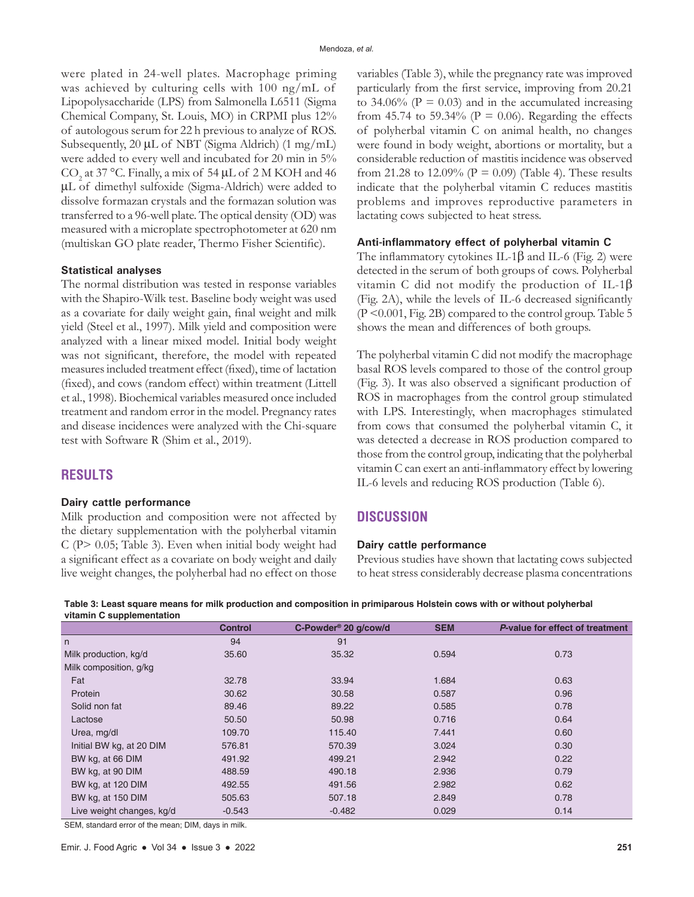were plated in 24-well plates. Macrophage priming was achieved by culturing cells with 100 ng/mL of Lipopolysaccharide (LPS) from Salmonella L6511 (Sigma Chemical Company, St. Louis, MO) in CRPMI plus 12% of autologous serum for 22 h previous to analyze of ROS. Subsequently, 20 μL of NBT (Sigma Aldrich) (1 mg/mL) were added to every well and incubated for 20 min in 5% CO<sub>2</sub> at 37 °C. Finally, a mix of 54  $\mu$ L of 2 M KOH and 46 µL of dimethyl sulfoxide (Sigma-Aldrich) were added to dissolve formazan crystals and the formazan solution was transferred to a 96-well plate. The optical density (OD) was measured with a microplate spectrophotometer at 620 nm (multiskan GO plate reader, Thermo Fisher Scientific).

#### **Statistical analyses**

The normal distribution was tested in response variables with the Shapiro-Wilk test. Baseline body weight was used as a covariate for daily weight gain, final weight and milk yield (Steel et al., 1997). Milk yield and composition were analyzed with a linear mixed model. Initial body weight was not significant, therefore, the model with repeated measures included treatment effect (fixed), time of lactation (fixed), and cows (random effect) within treatment (Littell et al., 1998). Biochemical variables measured once included treatment and random error in the model. Pregnancy rates and disease incidences were analyzed with the Chi-square test with Software R (Shim et al., 2019).

## **RESULTS**

#### **Dairy cattle performance**

Milk production and composition were not affected by the dietary supplementation with the polyherbal vitamin C (P> 0.05; Table 3). Even when initial body weight had a significant effect as a covariate on body weight and daily live weight changes, the polyherbal had no effect on those variables (Table 3), while the pregnancy rate was improved particularly from the first service, improving from 20.21 to 34.06% ( $P = 0.03$ ) and in the accumulated increasing from 45.74 to 59.34% ( $P = 0.06$ ). Regarding the effects of polyherbal vitamin C on animal health, no changes were found in body weight, abortions or mortality, but a considerable reduction of mastitis incidence was observed from 21.28 to 12.09% ( $P = 0.09$ ) (Table 4). These results indicate that the polyherbal vitamin C reduces mastitis problems and improves reproductive parameters in lactating cows subjected to heat stress.

#### **Anti-inflammatory effect of polyherbal vitamin C**

The inflammatory cytokines IL-1 $\beta$  and IL-6 (Fig. 2) were detected in the serum of both groups of cows. Polyherbal vitamin C did not modify the production of IL-1β (Fig. 2A), while the levels of IL-6 decreased significantly (P <0.001, Fig. 2B) compared to the control group. Table 5 shows the mean and differences of both groups.

The polyherbal vitamin C did not modify the macrophage basal ROS levels compared to those of the control group (Fig. 3). It was also observed a significant production of ROS in macrophages from the control group stimulated with LPS. Interestingly, when macrophages stimulated from cows that consumed the polyherbal vitamin C, it was detected a decrease in ROS production compared to those from the control group, indicating that the polyherbal vitamin C can exert an anti-inflammatory effect by lowering IL-6 levels and reducing ROS production (Table 6).

## **DISCUSSION**

#### **Dairy cattle performance**

Previous studies have shown that lactating cows subjected to heat stress considerably decrease plasma concentrations

| vitamin C supplementation |                |                                  |            |                                 |
|---------------------------|----------------|----------------------------------|------------|---------------------------------|
|                           | <b>Control</b> | C-Powder <sup>®</sup> 20 g/cow/d | <b>SEM</b> | P-value for effect of treatment |
| n                         | 94             | 91                               |            |                                 |
| Milk production, kg/d     | 35.60          | 35.32                            | 0.594      | 0.73                            |
| Milk composition, g/kg    |                |                                  |            |                                 |
| Fat                       | 32.78          | 33.94                            | 1.684      | 0.63                            |
| Protein                   | 30.62          | 30.58                            | 0.587      | 0.96                            |
| Solid non fat             | 89.46          | 89.22                            | 0.585      | 0.78                            |
| Lactose                   | 50.50          | 50.98                            | 0.716      | 0.64                            |
| Urea, mg/dl               | 109.70         | 115.40                           | 7.441      | 0.60                            |
| Initial BW kg, at 20 DIM  | 576.81         | 570.39                           | 3.024      | 0.30                            |
| BW kg, at 66 DIM          | 491.92         | 499.21                           | 2.942      | 0.22                            |
| BW kg, at 90 DIM          | 488.59         | 490.18                           | 2.936      | 0.79                            |
| BW kg, at 120 DIM         | 492.55         | 491.56                           | 2.982      | 0.62                            |
| BW kg, at 150 DIM         | 505.63         | 507.18                           | 2.849      | 0.78                            |
| Live weight changes, kg/d | $-0.543$       | $-0.482$                         | 0.029      | 0.14                            |
|                           |                |                                  |            |                                 |

**Table 3: Least square means for milk production and composition in primiparous Holstein cows with or without polyherbal** 

SEM, standard error of the mean; DIM, days in milk.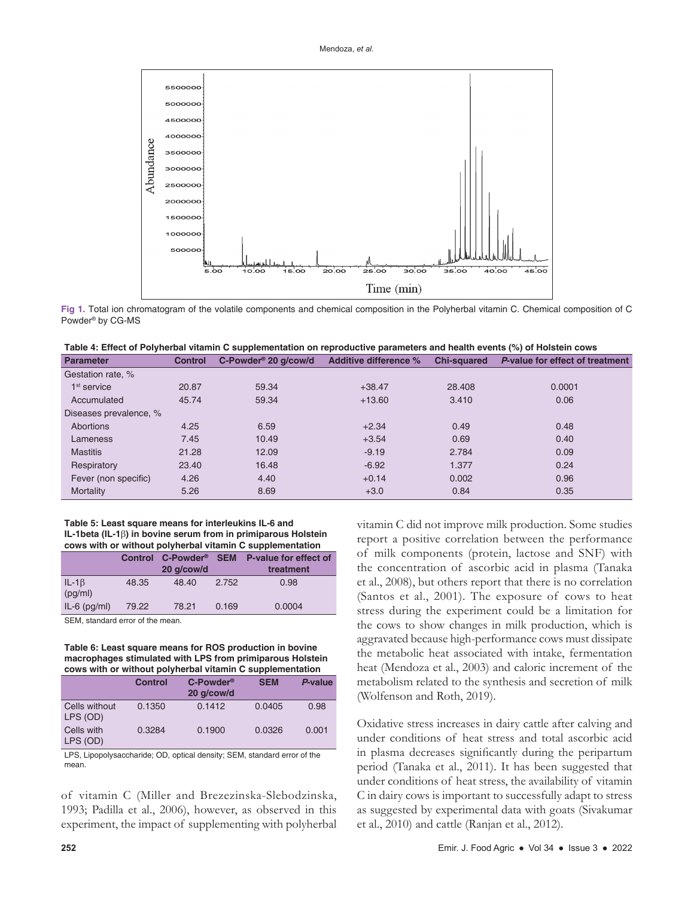



**Fig 1.** Total ion chromatogram of the volatile components and chemical composition in the Polyherbal vitamin C. Chemical composition of C Powder® by CG-MS

| <b>Parameter</b>       | <b>Control</b> | C-Powder <sup>®</sup> 20 g/cow/d | Additive difference % | <b>Chi-squared</b> | P-value for effect of treatment |
|------------------------|----------------|----------------------------------|-----------------------|--------------------|---------------------------------|
| Gestation rate, %      |                |                                  |                       |                    |                                 |
| $1st$ service          | 20.87          | 59.34                            | $+38.47$              | 28,408             | 0.0001                          |
| Accumulated            | 45.74          | 59.34                            | $+13.60$              | 3.410              | 0.06                            |
| Diseases prevalence, % |                |                                  |                       |                    |                                 |
| Abortions              | 4.25           | 6.59                             | $+2.34$               | 0.49               | 0.48                            |
| Lameness               | 7.45           | 10.49                            | $+3.54$               | 0.69               | 0.40                            |
| <b>Mastitis</b>        | 21.28          | 12.09                            | $-9.19$               | 2.784              | 0.09                            |
| Respiratory            | 23.40          | 16.48                            | $-6.92$               | 1.377              | 0.24                            |
| Fever (non specific)   | 4.26           | 4.40                             | $+0.14$               | 0.002              | 0.96                            |
| Mortality              | 5.26           | 8.69                             | $+3.0$                | 0.84               | 0.35                            |

#### **Table 5: Least square means for interleukins IL‑6 and IL‑1beta (IL‑1**β**) in bovine serum from in primiparous Holstein cows with or without polyherbal vitamin C supplementation**

|                          |       | Control C-Powder <sup>®</sup> SEM<br>20 g/cow/d |       | P-value for effect of<br>treatment |
|--------------------------|-------|-------------------------------------------------|-------|------------------------------------|
| $IL - 1\beta$<br>(pg/ml) | 48.35 | 48.40                                           | 2.752 | 0.98                               |
| $IL-6$ ( $pq/ml$ )       | 79.22 | 78.21                                           | 0.169 | 0.0004                             |

SEM, standard error of the mean.

**Table 6: Least square means for ROS production in bovine macrophages stimulated with LPS from primiparous Holstein cows with or without polyherbal vitamin C supplementation**

|                           | <b>Control</b> | C-Powder <sup>®</sup><br>20 g/cow/d | <b>SEM</b> | P-value |
|---------------------------|----------------|-------------------------------------|------------|---------|
| Cells without<br>LPS (OD) | 0.1350         | 0.1412                              | 0.0405     | 0.98    |
| Cells with<br>LPS (OD)    | 0.3284         | 0.1900                              | 0.0326     | 0.001   |

LPS, Lipopolysaccharide; OD, optical density; SEM, standard error of the mean.

of vitamin C (Miller and Brezezinska-Slebodzinska, 1993; Padilla et al., 2006), however, as observed in this experiment, the impact of supplementing with polyherbal vitamin C did not improve milk production. Some studies report a positive correlation between the performance of milk components (protein, lactose and SNF) with the concentration of ascorbic acid in plasma (Tanaka et al., 2008), but others report that there is no correlation (Santos et al., 2001). The exposure of cows to heat stress during the experiment could be a limitation for the cows to show changes in milk production, which is aggravated because high-performance cows must dissipate the metabolic heat associated with intake, fermentation heat (Mendoza et al., 2003) and caloric increment of the metabolism related to the synthesis and secretion of milk (Wolfenson and Roth, 2019).

Oxidative stress increases in dairy cattle after calving and under conditions of heat stress and total ascorbic acid in plasma decreases significantly during the peripartum period (Tanaka et al., 2011). It has been suggested that under conditions of heat stress, the availability of vitamin C in dairy cows is important to successfully adapt to stress as suggested by experimental data with goats (Sivakumar et al., 2010) and cattle (Ranjan et al., 2012).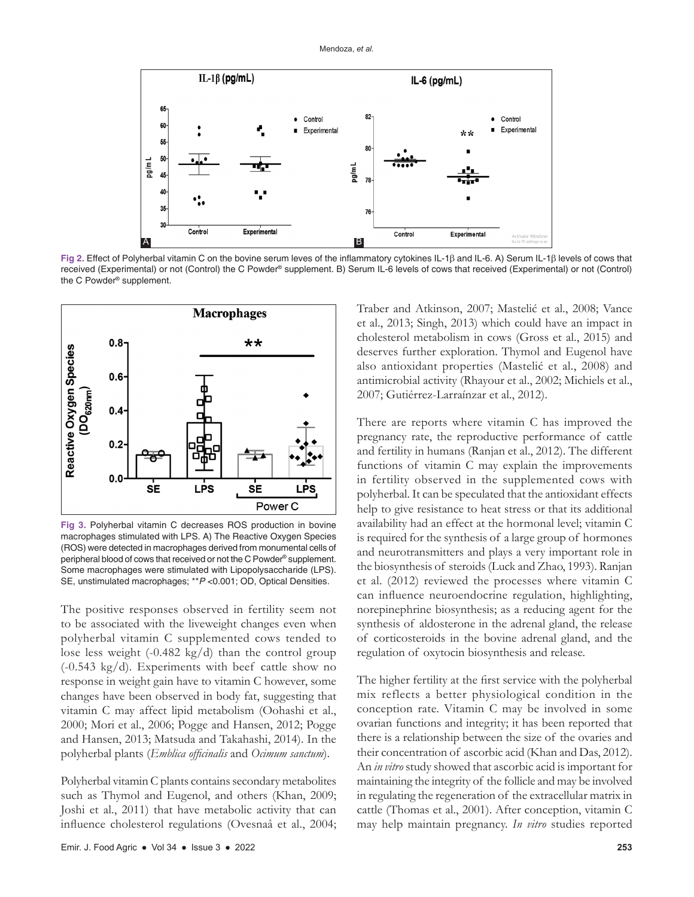

**Fig 2.** Effect of Polyherbal vitamin C on the bovine serum leves of the inflammatory cytokines IL-1β and IL-6. A) Serum IL-1β levels of cows that received (Experimental) or not (Control) the C Powder® supplement. B) Serum IL-6 levels of cows that received (Experimental) or not (Control) the C Powder® supplement.



**Fig 3.** Polyherbal vitamin C decreases ROS production in bovine macrophages stimulated with LPS. A) The Reactive Oxygen Species (ROS) were detected in macrophages derived from monumental cells of peripheral blood of cows that received or not the C Powder® supplement. Some macrophages were stimulated with Lipopolysaccharide (LPS). SE, unstimulated macrophages; \*\**P* <0.001; OD, Optical Densities.

The positive responses observed in fertility seem not to be associated with the liveweight changes even when polyherbal vitamin C supplemented cows tended to lose less weight (-0.482 kg/d) than the control group (-0.543 kg/d). Experiments with beef cattle show no response in weight gain have to vitamin C however, some changes have been observed in body fat, suggesting that vitamin C may affect lipid metabolism (Oohashi et al., 2000; Mori et al., 2006; Pogge and Hansen, 2012; Pogge and Hansen, 2013; Matsuda and Takahashi, 2014). In the polyherbal plants (*Emblica officinalis* and *Ocimum sanctum*).

Polyherbal vitamin C plants contains secondary metabolites such as Thymol and Eugenol, and others (Khan, 2009; Joshi et al., 2011) that have metabolic activity that can influence cholesterol regulations (Ovesnaâ et al., 2004; Traber and Atkinson, 2007; Mastelić et al., 2008; Vance et al., 2013; Singh, 2013) which could have an impact in cholesterol metabolism in cows (Gross et al., 2015) and deserves further exploration. Thymol and Eugenol have also antioxidant properties (Mastelić et al., 2008) and antimicrobial activity (Rhayour et al., 2002; Michiels et al., 2007; Gutiérrez-Larraínzar et al., 2012).

There are reports where vitamin C has improved the pregnancy rate, the reproductive performance of cattle and fertility in humans (Ranjan et al., 2012). The different functions of vitamin C may explain the improvements in fertility observed in the supplemented cows with polyherbal. It can be speculated that the antioxidant effects help to give resistance to heat stress or that its additional availability had an effect at the hormonal level; vitamin C is required for the synthesis of a large group of hormones and neurotransmitters and plays a very important role in the biosynthesis of steroids (Luck and Zhao, 1993). Ranjan et al. (2012) reviewed the processes where vitamin C can influence neuroendocrine regulation, highlighting, norepinephrine biosynthesis; as a reducing agent for the synthesis of aldosterone in the adrenal gland, the release of corticosteroids in the bovine adrenal gland, and the regulation of oxytocin biosynthesis and release.

The higher fertility at the first service with the polyherbal mix reflects a better physiological condition in the conception rate. Vitamin C may be involved in some ovarian functions and integrity; it has been reported that there is a relationship between the size of the ovaries and their concentration of ascorbic acid (Khan and Das, 2012). An *in vitro* study showed that ascorbic acid is important for maintaining the integrity of the follicle and may be involved in regulating the regeneration of the extracellular matrix in cattle (Thomas et al., 2001). After conception, vitamin C may help maintain pregnancy. *In vitro* studies reported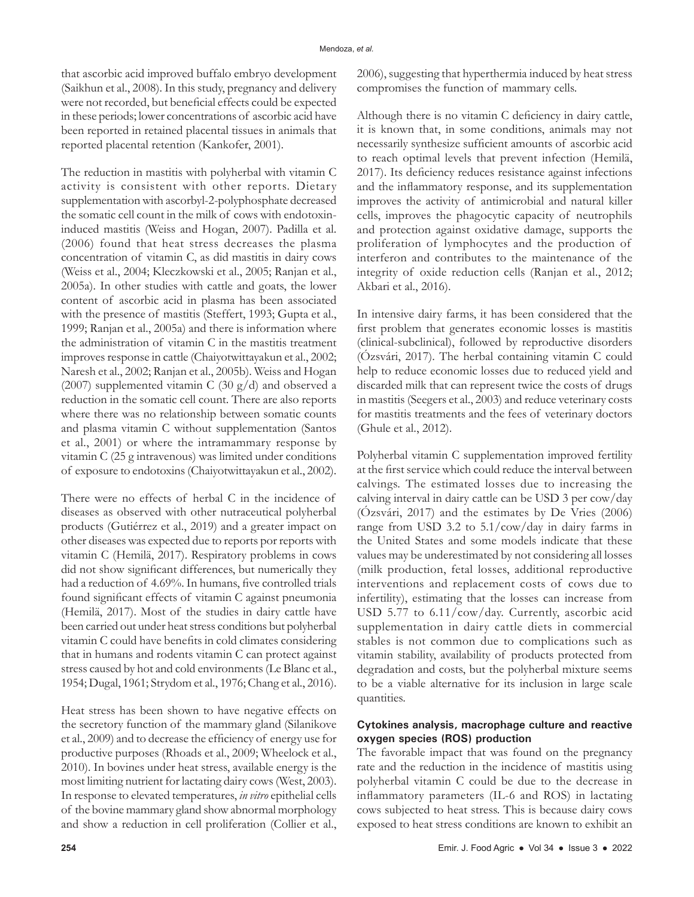that ascorbic acid improved buffalo embryo development (Saikhun et al., 2008). In this study, pregnancy and delivery were not recorded, but beneficial effects could be expected in these periods; lower concentrations of ascorbic acid have been reported in retained placental tissues in animals that reported placental retention (Kankofer, 2001).

The reduction in mastitis with polyherbal with vitamin C activity is consistent with other reports. Dietary supplementation with ascorbyl-2-polyphosphate decreased the somatic cell count in the milk of cows with endotoxininduced mastitis (Weiss and Hogan, 2007). Padilla et al. (2006) found that heat stress decreases the plasma concentration of vitamin C, as did mastitis in dairy cows (Weiss et al., 2004; Kleczkowski et al., 2005; Ranjan et al., 2005a). In other studies with cattle and goats, the lower content of ascorbic acid in plasma has been associated with the presence of mastitis (Steffert, 1993; Gupta et al., 1999; Ranjan et al., 2005a) and there is information where the administration of vitamin C in the mastitis treatment improves response in cattle (Chaiyotwittayakun et al., 2002; Naresh et al., 2002; Ranjan et al., 2005b). Weiss and Hogan (2007) supplemented vitamin C (30  $g/d$ ) and observed a reduction in the somatic cell count. There are also reports where there was no relationship between somatic counts and plasma vitamin C without supplementation (Santos et al., 2001) or where the intramammary response by vitamin C (25 g intravenous) was limited under conditions of exposure to endotoxins (Chaiyotwittayakun et al., 2002).

There were no effects of herbal C in the incidence of diseases as observed with other nutraceutical polyherbal products (Gutiérrez et al., 2019) and a greater impact on other diseases was expected due to reports por reports with vitamin C (Hemilä, 2017). Respiratory problems in cows did not show significant differences, but numerically they had a reduction of 4.69%. In humans, five controlled trials found significant effects of vitamin C against pneumonia (Hemilä, 2017). Most of the studies in dairy cattle have been carried out under heat stress conditions but polyherbal vitamin C could have benefits in cold climates considering that in humans and rodents vitamin C can protect against stress caused by hot and cold environments (Le Blanc et al., 1954; Dugal, 1961; Strydom et al., 1976; Chang et al., 2016).

Heat stress has been shown to have negative effects on the secretory function of the mammary gland (Silanikove et al., 2009) and to decrease the efficiency of energy use for productive purposes (Rhoads et al., 2009; Wheelock et al., 2010). In bovines under heat stress, available energy is the most limiting nutrient for lactating dairy cows (West, 2003). In response to elevated temperatures, *in vitro* epithelial cells of the bovine mammary gland show abnormal morphology and show a reduction in cell proliferation (Collier et al.,

2006), suggesting that hyperthermia induced by heat stress compromises the function of mammary cells.

Although there is no vitamin C deficiency in dairy cattle, it is known that, in some conditions, animals may not necessarily synthesize sufficient amounts of ascorbic acid to reach optimal levels that prevent infection (Hemilä, 2017). Its deficiency reduces resistance against infections and the inflammatory response, and its supplementation improves the activity of antimicrobial and natural killer cells, improves the phagocytic capacity of neutrophils and protection against oxidative damage, supports the proliferation of lymphocytes and the production of interferon and contributes to the maintenance of the integrity of oxide reduction cells (Ranjan et al., 2012; Akbari et al., 2016).

In intensive dairy farms, it has been considered that the first problem that generates economic losses is mastitis (clinical-subclinical), followed by reproductive disorders (Ózsvári, 2017). The herbal containing vitamin C could help to reduce economic losses due to reduced yield and discarded milk that can represent twice the costs of drugs in mastitis (Seegers et al., 2003) and reduce veterinary costs for mastitis treatments and the fees of veterinary doctors (Ghule et al., 2012).

Polyherbal vitamin C supplementation improved fertility at the first service which could reduce the interval between calvings. The estimated losses due to increasing the calving interval in dairy cattle can be USD 3 per cow/day (Ózsvári, 2017) and the estimates by De Vries (2006) range from USD 3.2 to 5.1/cow/day in dairy farms in the United States and some models indicate that these values may be underestimated by not considering all losses (milk production, fetal losses, additional reproductive interventions and replacement costs of cows due to infertility), estimating that the losses can increase from USD 5.77 to 6.11/cow/day. Currently, ascorbic acid supplementation in dairy cattle diets in commercial stables is not common due to complications such as vitamin stability, availability of products protected from degradation and costs, but the polyherbal mixture seems to be a viable alternative for its inclusion in large scale quantities.

### **Cytokines analysis, macrophage culture and reactive oxygen species (ROS) production**

The favorable impact that was found on the pregnancy rate and the reduction in the incidence of mastitis using polyherbal vitamin C could be due to the decrease in inflammatory parameters (IL-6 and ROS) in lactating cows subjected to heat stress. This is because dairy cows exposed to heat stress conditions are known to exhibit an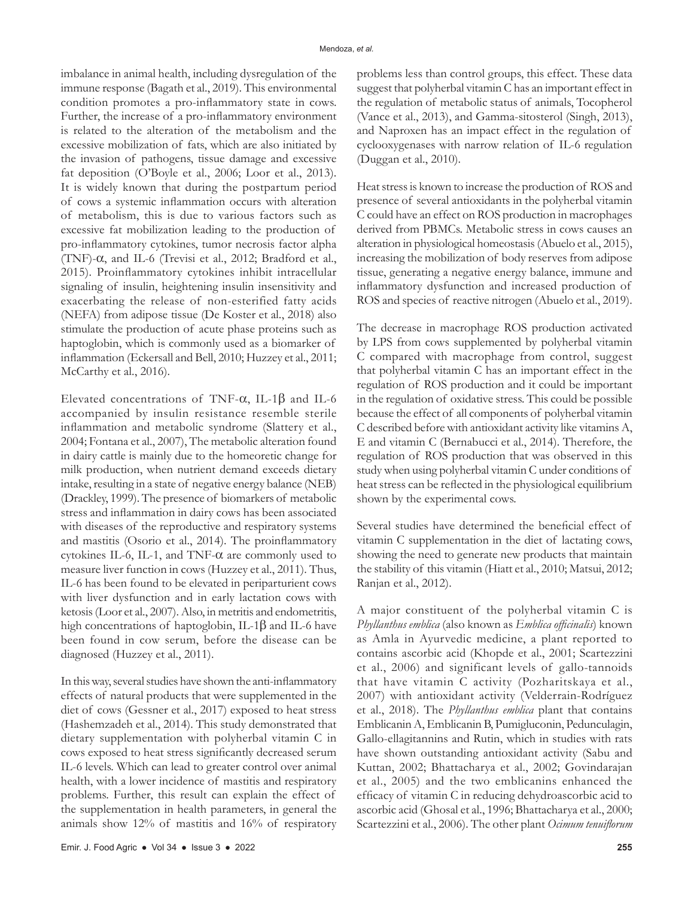imbalance in animal health, including dysregulation of the immune response (Bagath et al., 2019). This environmental condition promotes a pro-inflammatory state in cows. Further, the increase of a pro-inflammatory environment is related to the alteration of the metabolism and the excessive mobilization of fats, which are also initiated by the invasion of pathogens, tissue damage and excessive fat deposition (O'Boyle et al., 2006; Loor et al., 2013). It is widely known that during the postpartum period of cows a systemic inflammation occurs with alteration of metabolism, this is due to various factors such as excessive fat mobilization leading to the production of pro-inflammatory cytokines, tumor necrosis factor alpha (TNF)-α, and IL-6 (Trevisi et al., 2012; Bradford et al., 2015). Proinflammatory cytokines inhibit intracellular signaling of insulin, heightening insulin insensitivity and exacerbating the release of non-esterified fatty acids (NEFA) from adipose tissue (De Koster et al., 2018) also stimulate the production of acute phase proteins such as haptoglobin, which is commonly used as a biomarker of inflammation (Eckersall and Bell, 2010; Huzzey et al., 2011; McCarthy et al., 2016).

Elevated concentrations of TNF- $\alpha$ , IL-1β and IL-6 accompanied by insulin resistance resemble sterile inflammation and metabolic syndrome (Slattery et al., 2004; Fontana et al., 2007), The metabolic alteration found in dairy cattle is mainly due to the homeoretic change for milk production, when nutrient demand exceeds dietary intake, resulting in a state of negative energy balance (NEB) (Drackley, 1999). The presence of biomarkers of metabolic stress and inflammation in dairy cows has been associated with diseases of the reproductive and respiratory systems and mastitis (Osorio et al., 2014). The proinflammatory cytokines IL-6, IL-1, and TNF- $\alpha$  are commonly used to measure liver function in cows (Huzzey et al., 2011). Thus, IL-6 has been found to be elevated in periparturient cows with liver dysfunction and in early lactation cows with ketosis (Loor et al., 2007). Also, in metritis and endometritis, high concentrations of haptoglobin, IL-1 $\beta$  and IL-6 have been found in cow serum, before the disease can be diagnosed (Huzzey et al., 2011).

In this way, several studies have shown the anti-inflammatory effects of natural products that were supplemented in the diet of cows (Gessner et al., 2017) exposed to heat stress (Hashemzadeh et al., 2014). This study demonstrated that dietary supplementation with polyherbal vitamin C in cows exposed to heat stress significantly decreased serum IL-6 levels. Which can lead to greater control over animal health, with a lower incidence of mastitis and respiratory problems. Further, this result can explain the effect of the supplementation in health parameters, in general the animals show 12% of mastitis and 16% of respiratory problems less than control groups, this effect. These data suggest that polyherbal vitamin C has an important effect in the regulation of metabolic status of animals, Tocopherol (Vance et al., 2013), and Gamma-sitosterol (Singh, 2013), and Naproxen has an impact effect in the regulation of cyclooxygenases with narrow relation of IL-6 regulation (Duggan et al., 2010).

Heat stress is known to increase the production of ROS and presence of several antioxidants in the polyherbal vitamin C could have an effect on ROS production in macrophages derived from PBMCs. Metabolic stress in cows causes an alteration in physiological homeostasis (Abuelo et al., 2015), increasing the mobilization of body reserves from adipose tissue, generating a negative energy balance, immune and inflammatory dysfunction and increased production of ROS and species of reactive nitrogen (Abuelo et al., 2019).

The decrease in macrophage ROS production activated by LPS from cows supplemented by polyherbal vitamin C compared with macrophage from control, suggest that polyherbal vitamin C has an important effect in the regulation of ROS production and it could be important in the regulation of oxidative stress. This could be possible because the effect of all components of polyherbal vitamin C described before with antioxidant activity like vitamins A, E and vitamin C (Bernabucci et al., 2014). Therefore, the regulation of ROS production that was observed in this study when using polyherbal vitamin C under conditions of heat stress can be reflected in the physiological equilibrium shown by the experimental cows.

Several studies have determined the beneficial effect of vitamin C supplementation in the diet of lactating cows, showing the need to generate new products that maintain the stability of this vitamin (Hiatt et al., 2010; Matsui, 2012; Ranjan et al., 2012).

A major constituent of the polyherbal vitamin C is *Phyllanthus emblica* (also known as *Emblica officinalis*) known as Amla in Ayurvedic medicine, a plant reported to contains ascorbic acid (Khopde et al., 2001; Scartezzini et al., 2006) and significant levels of gallo-tannoids that have vitamin C activity (Pozharitskaya et al., 2007) with antioxidant activity (Velderrain-Rodríguez et al., 2018). The *Phyllanthus emblica* plant that contains Emblicanin A, Emblicanin B, Pumigluconin, Pedunculagin, Gallo-ellagitannins and Rutin, which in studies with rats have shown outstanding antioxidant activity (Sabu and Kuttan, 2002; Bhattacharya et al., 2002; Govindarajan et al., 2005) and the two emblicanins enhanced the efficacy of vitamin C in reducing dehydroascorbic acid to ascorbic acid (Ghosal et al., 1996; Bhattacharya et al., 2000; Scartezzini et al., 2006). The other plant *Ocimum tenuiflorum*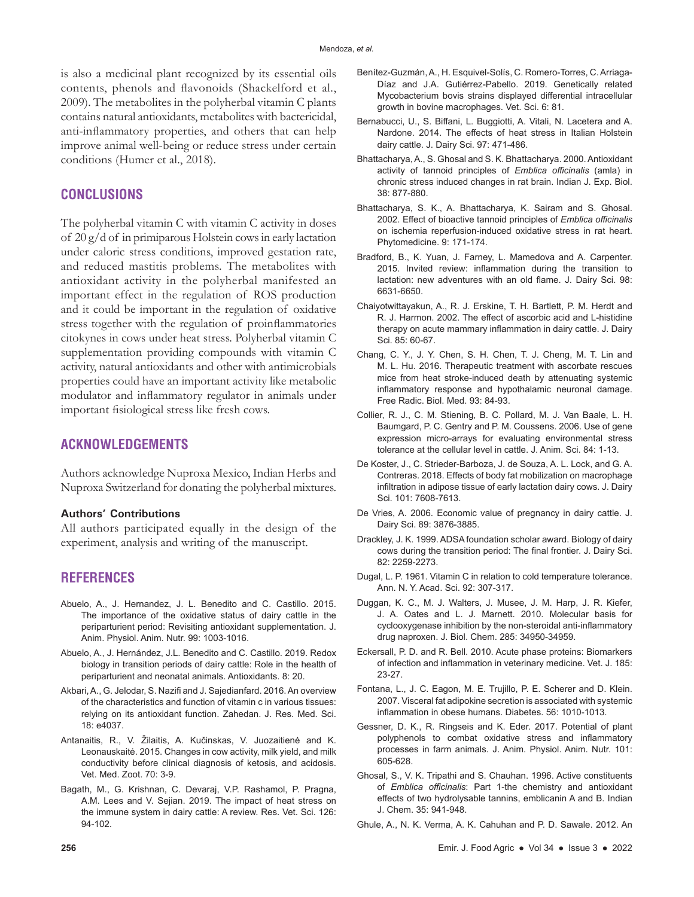is also a medicinal plant recognized by its essential oils contents, phenols and flavonoids (Shackelford et al., 2009). The metabolites in the polyherbal vitamin C plants contains natural antioxidants, metabolites with bactericidal, anti-inflammatory properties, and others that can help improve animal well-being or reduce stress under certain conditions (Humer et al., 2018).

## **CONCLUSIONS**

The polyherbal vitamin C with vitamin C activity in doses of 20 g/d of in primiparous Holstein cows in early lactation under caloric stress conditions, improved gestation rate, and reduced mastitis problems. The metabolites with antioxidant activity in the polyherbal manifested an important effect in the regulation of ROS production and it could be important in the regulation of oxidative stress together with the regulation of proinflammatories citokynes in cows under heat stress. Polyherbal vitamin C supplementation providing compounds with vitamin C activity, natural antioxidants and other with antimicrobials properties could have an important activity like metabolic modulator and inflammatory regulator in animals under important fisiological stress like fresh cows.

# **ACKNOWLEDGEMENTS**

Authors acknowledge Nuproxa Mexico, Indian Herbs and Nuproxa Switzerland for donating the polyherbal mixtures.

#### **Authors' Contributions**

All authors participated equally in the design of the experiment, analysis and writing of the manuscript.

## **REFERENCES**

- Abuelo, A., J. Hernandez, J. L. Benedito and C. Castillo. 2015. The importance of the oxidative status of dairy cattle in the periparturient period: Revisiting antioxidant supplementation. J. Anim. Physiol. Anim. Nutr. 99: 1003-1016.
- Abuelo, A., J. Hernández, J.L. Benedito and C. Castillo. 2019. Redox biology in transition periods of dairy cattle: Role in the health of periparturient and neonatal animals. Antioxidants. 8: 20.
- Akbari, A., G. Jelodar, S. Nazifi and J. Sajedianfard. 2016. An overview of the characteristics and function of vitamin c in various tissues: relying on its antioxidant function. Zahedan. J. Res. Med. Sci. 18: e4037.
- Antanaitis, R., V. Žilaitis, A. Kučinskas, V. Juozaitienė and K. Leonauskaitė. 2015. Changes in cow activity, milk yield, and milk conductivity before clinical diagnosis of ketosis, and acidosis. Vet. Med. Zoot. 70: 3-9.
- Bagath, M., G. Krishnan, C. Devaraj, V.P. Rashamol, P. Pragna, A.M. Lees and V. Sejian. 2019. The impact of heat stress on the immune system in dairy cattle: A review. Res. Vet. Sci. 126: 94-102.
- Benítez-Guzmán, A., H. Esquivel-Solís, C. Romero-Torres, C. Arriaga-Díaz and J.A. Gutiérrez-Pabello. 2019. Genetically related Mycobacterium bovis strains displayed differential intracellular growth in bovine macrophages. Vet. Sci. 6: 81.
- Bernabucci, U., S. Biffani, L. Buggiotti, A. Vitali, N. Lacetera and A. Nardone. 2014. The effects of heat stress in Italian Holstein dairy cattle. J. Dairy Sci. 97: 471-486.
- Bhattacharya, A., S. Ghosal and S. K. Bhattacharya. 2000. Antioxidant activity of tannoid principles of *Emblica officinalis* (amla) in chronic stress induced changes in rat brain. Indian J. Exp. Biol. 38: 877-880.
- Bhattacharya, S. K., A. Bhattacharya, K. Sairam and S. Ghosal. 2002. Effect of bioactive tannoid principles of *Emblica officinalis*  on ischemia reperfusion-induced oxidative stress in rat heart. Phytomedicine. 9: 171-174.
- Bradford, B., K. Yuan, J. Farney, L. Mamedova and A. Carpenter. 2015. Invited review: inflammation during the transition to lactation: new adventures with an old flame. J. Dairy Sci. 98: 6631-6650.
- Chaiyotwittayakun, A., R. J. Erskine, T. H. Bartlett, P. M. Herdt and R. J. Harmon. 2002. The effect of ascorbic acid and L-histidine therapy on acute mammary inflammation in dairy cattle. J. Dairy Sci. 85: 60-67.
- Chang, C. Y., J. Y. Chen, S. H. Chen, T. J. Cheng, M. T. Lin and M. L. Hu. 2016. Therapeutic treatment with ascorbate rescues mice from heat stroke-induced death by attenuating systemic inflammatory response and hypothalamic neuronal damage. Free Radic. Biol. Med. 93: 84-93.
- Collier, R. J., C. M. Stiening, B. C. Pollard, M. J. Van Baale, L. H. Baumgard, P. C. Gentry and P. M. Coussens. 2006. Use of gene expression micro-arrays for evaluating environmental stress tolerance at the cellular level in cattle. J. Anim. Sci. 84: 1-13.
- De Koster, J., C. Strieder-Barboza, J. de Souza, A. L. Lock, and G. A. Contreras. 2018. Effects of body fat mobilization on macrophage infiltration in adipose tissue of early lactation dairy cows. J. Dairy Sci. 101: 7608-7613.
- De Vries, A. 2006. Economic value of pregnancy in dairy cattle. J. Dairy Sci. 89: 3876-3885.
- Drackley, J. K. 1999. ADSA foundation scholar award. Biology of dairy cows during the transition period: The final frontier. J. Dairy Sci. 82: 2259-2273.
- Dugal, L. P. 1961. Vitamin C in relation to cold temperature tolerance. Ann. N. Y. Acad. Sci. 92: 307-317.
- Duggan, K. C., M. J. Walters, J. Musee, J. M. Harp, J. R. Kiefer, J. A. Oates and L. J. Marnett. 2010. Molecular basis for cyclooxygenase inhibition by the non-steroidal anti-inflammatory drug naproxen. J. Biol. Chem. 285: 34950-34959.
- Eckersall, P. D. and R. Bell. 2010. Acute phase proteins: Biomarkers of infection and inflammation in veterinary medicine. Vet. J. 185: 23-27.
- Fontana, L., J. C. Eagon, M. E. Trujillo, P. E. Scherer and D. Klein. 2007. Visceral fat adipokine secretion is associated with systemic inflammation in obese humans. Diabetes. 56: 1010-1013.
- Gessner, D. K., R. Ringseis and K. Eder. 2017. Potential of plant polyphenols to combat oxidative stress and inflammatory processes in farm animals. J. Anim. Physiol. Anim. Nutr. 101: 605-628.
- Ghosal, S., V. K. Tripathi and S. Chauhan. 1996. Active constituents of *Emblica officinalis*: Part 1-the chemistry and antioxidant effects of two hydrolysable tannins, emblicanin A and B. Indian J. Chem. 35: 941-948.
- Ghule, A., N. K. Verma, A. K. Cahuhan and P. D. Sawale. 2012. An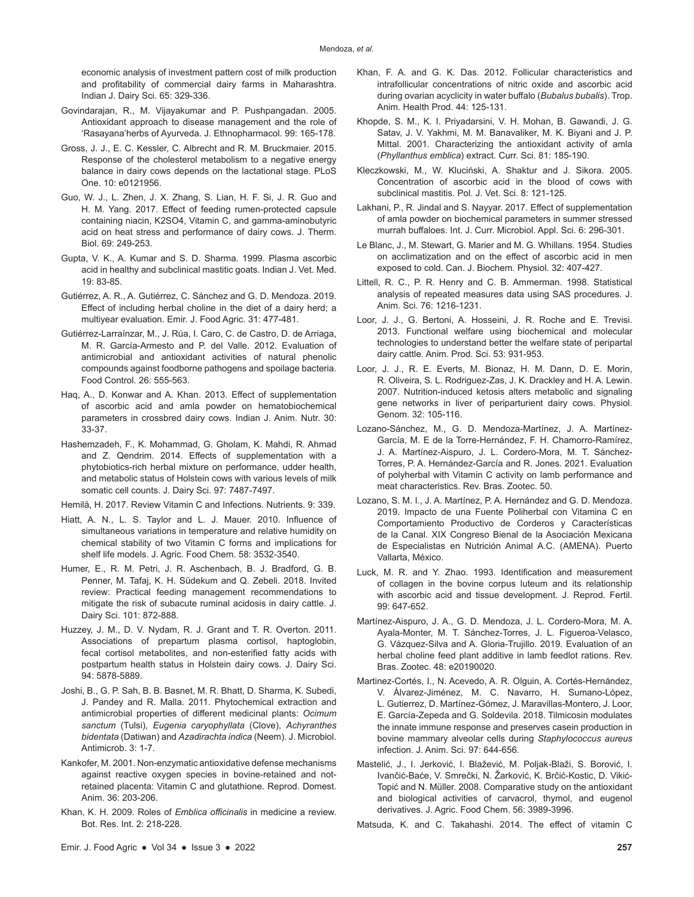economic analysis of investment pattern cost of milk production and profitability of commercial dairy farms in Maharashtra. Indian J. Dairy Sci. 65: 329-336.

- Govindarajan, R., M. Vijayakumar and P. Pushpangadan. 2005. Antioxidant approach to disease management and the role of 'Rasayana'herbs of Ayurveda. J. Ethnopharmacol. 99: 165-178.
- Gross, J. J., E. C. Kessler, C. Albrecht and R. M. Bruckmaier. 2015. Response of the cholesterol metabolism to a negative energy balance in dairy cows depends on the lactational stage. PLoS One. 10: e0121956.
- Guo, W. J., L. Zhen, J. X. Zhang, S. Lian, H. F. Si, J. R. Guo and H. M. Yang. 2017. Effect of feeding rumen-protected capsule containing niacin, K2SO4, Vitamin C, and gamma-aminobutyric acid on heat stress and performance of dairy cows. J. Therm. Biol. 69: 249-253.
- Gupta, V. K., A. Kumar and S. D. Sharma. 1999. Plasma ascorbic acid in healthy and subclinical mastitic goats. Indian J. Vet. Med. 19: 83-85.
- Gutiérrez, A. R., A. Gutiérrez, C. Sánchez and G. D. Mendoza. 2019. Effect of including herbal choline in the diet of a dairy herd; a multiyear evaluation. Emir. J. Food Agric. 31: 477-481.
- Gutiérrez-Larraínzar, M., J. Rúa, I. Caro, C. de Castro, D. de Arriaga, M. R. García-Armesto and P. del Valle. 2012. Evaluation of antimicrobial and antioxidant activities of natural phenolic compounds against foodborne pathogens and spoilage bacteria. Food Control. 26: 555-563.
- Haq, A., D. Konwar and A. Khan. 2013. Effect of supplementation of ascorbic acid and amla powder on hematobiochemical parameters in crossbred dairy cows. Indian J. Anim. Nutr. 30: 33-37.
- Hashemzadeh, F., K. Mohammad, G. Gholam, K. Mahdi, R. Ahmad and Z. Qendrim. 2014. Effects of supplementation with a phytobiotics-rich herbal mixture on performance, udder health, and metabolic status of Holstein cows with various levels of milk somatic cell counts. J. Dairy Sci. 97: 7487-7497.
- Hemilä, H. 2017. Review Vitamin C and Infections. Nutrients. 9: 339.
- Hiatt, A. N., L. S. Taylor and L. J. Mauer. 2010. Influence of simultaneous variations in temperature and relative humidity on chemical stability of two Vitamin C forms and implications for shelf life models. J. Agric. Food Chem. 58: 3532-3540.
- Humer, E., R. M. Petri, J. R. Aschenbach, B. J. Bradford, G. B. Penner, M. Tafaj, K. H. Südekum and Q. Zebeli. 2018. Invited review: Practical feeding management recommendations to mitigate the risk of subacute ruminal acidosis in dairy cattle. J. Dairy Sci. 101: 872-888.
- Huzzey, J. M., D. V. Nydam, R. J. Grant and T. R. Overton. 2011. Associations of prepartum plasma cortisol, haptoglobin, fecal cortisol metabolites, and non-esterified fatty acids with postpartum health status in Holstein dairy cows. J. Dairy Sci. 94: 5878-5889.
- Joshi, B., G. P. Sah, B. B. Basnet, M. R. Bhatt, D. Sharma, K. Subedi, J. Pandey and R. Malla. 2011. Phytochemical extraction and antimicrobial properties of different medicinal plants: *Ocimum sanctum* (Tulsi), *Eugenia caryophyllata* (Clove), *Achyranthes bidentata* (Datiwan) and *Azadirachta indica* (Neem). J. Microbiol. Antimicrob. 3: 1-7.
- Kankofer, M. 2001. Non-enzymatic antioxidative defense mechanisms against reactive oxygen species in bovine-retained and notretained placenta: Vitamin C and glutathione. Reprod. Domest. Anim. 36: 203-206.
- Khan, K. H. 2009. Roles of *Emblica officinalis* in medicine a review. Bot. Res. Int. 2: 218-228.
- Khan, F. A. and G. K. Das. 2012. Follicular characteristics and intrafollicular concentrations of nitric oxide and ascorbic acid during ovarian acyclicity in water buffalo (*Bubalus bubalis*). Trop. Anim. Health Prod. 44: 125-131.
- Khopde, S. M., K. I. Priyadarsini, V. H. Mohan, B. Gawandi, J. G. Satav, J. V. Yakhmi, M. M. Banavaliker, M. K. Biyani and J. P. Mittal. 2001. Characterizing the antioxidant activity of amla (*Phyllanthus emblica*) extract. Curr. Sci. 81: 185-190.
- Kleczkowski, M., W. Kluciński, A. Shaktur and J. Sikora. 2005. Concentration of ascorbic acid in the blood of cows with subclinical mastitis. Pol. J. Vet. Sci. 8: 121-125.
- Lakhani, P., R. Jindal and S. Nayyar. 2017. Effect of supplementation of amla powder on biochemical parameters in summer stressed murrah buffaloes. Int. J. Curr. Microbiol. Appl. Sci. 6: 296-301.
- Le Blanc, J., M. Stewart, G. Marier and M. G. Whillans. 1954. Studies on acclimatization and on the effect of ascorbic acid in men exposed to cold. Can. J. Biochem. Physiol. 32: 407-427.
- Littell, R. C., P. R. Henry and C. B. Ammerman. 1998. Statistical analysis of repeated measures data using SAS procedures. J. Anim. Sci. 76: 1216-1231.
- Loor, J. J., G. Bertoni, A. Hosseini, J. R. Roche and E. Trevisi. 2013. Functional welfare using biochemical and molecular technologies to understand better the welfare state of peripartal dairy cattle. Anim. Prod. Sci. 53: 931-953.
- Loor, J. J., R. E. Everts, M. Bionaz, H. M. Dann, D. E. Morin, R. Oliveira, S. L. Rodriguez-Zas, J. K. Drackley and H. A. Lewin. 2007. Nutrition-induced ketosis alters metabolic and signaling gene networks in liver of periparturient dairy cows. Physiol. Genom. 32: 105-116.
- Lozano-Sánchez, M., G. D. Mendoza-Martínez, J. A. Martínez-García, M. E de la Torre-Hernández, F. H. Chamorro-Ramírez, J. A. Martínez-Aispuro, J. L. Cordero-Mora, M. T. Sánchez-Torres, P. A. Hernández-García and R. Jones. 2021. Evaluation of polyherbal with Vitamin C activity on lamb performance and meat characteristics. Rev. Bras. Zootec. 50.
- Lozano, S. M. I., J. A. Martínez, P. A. Hernández and G. D. Mendoza. 2019. Impacto de una Fuente Poliherbal con Vitamina C en Comportamiento Productivo de Corderos y Características de la Canal. XIX Congreso Bienal de la Asociación Mexicana de Especialistas en Nutrición Animal A.C. (AMENA). Puerto Vallarta, México.
- Luck, M. R. and Y. Zhao. 1993. Identification and measurement of collagen in the bovine corpus luteum and its relationship with ascorbic acid and tissue development. J. Reprod. Fertil. 99: 647-652.
- Martínez-Aispuro, J. A., G. D. Mendoza, J. L. Cordero-Mora, M. A. Ayala-Monter, M. T. Sánchez-Torres, J. L. Figueroa-Velasco, G. Vázquez-Silva and A. Gloria-Trujillo. 2019. Evaluation of an herbal choline feed plant additive in lamb feedlot rations. Rev. Bras. Zootec. 48: e20190020.
- Martinez-Cortés, I., N. Acevedo, A. R. Olguin, A. Cortés-Hernández, V. Álvarez-Jiménez, M. C. Navarro, H. Sumano-López, L. Gutierrez, D. Martínez-Gómez, J. Maravillas-Montero, J. Loor, E. García-Zepeda and G. Soldevila. 2018. Tilmicosin modulates the innate immune response and preserves casein production in bovine mammary alveolar cells during *Staphylococcus aureus*  infection. J. Anim. Sci. 97: 644-656.
- Mastelić, J., I. Jerković, I. Blažević, M. Poljak-Blaži, S. Borović, I. Ivančić-Baće, V. Smrečki, N. Žarković, K. Brčić-Kostic, D. Vikić-Topić and N. Müller. 2008. Comparative study on the antioxidant and biological activities of carvacrol, thymol, and eugenol derivatives. J. Agric. Food Chem. 56: 3989-3996.
- Matsuda, K. and C. Takahashi. 2014. The effect of vitamin C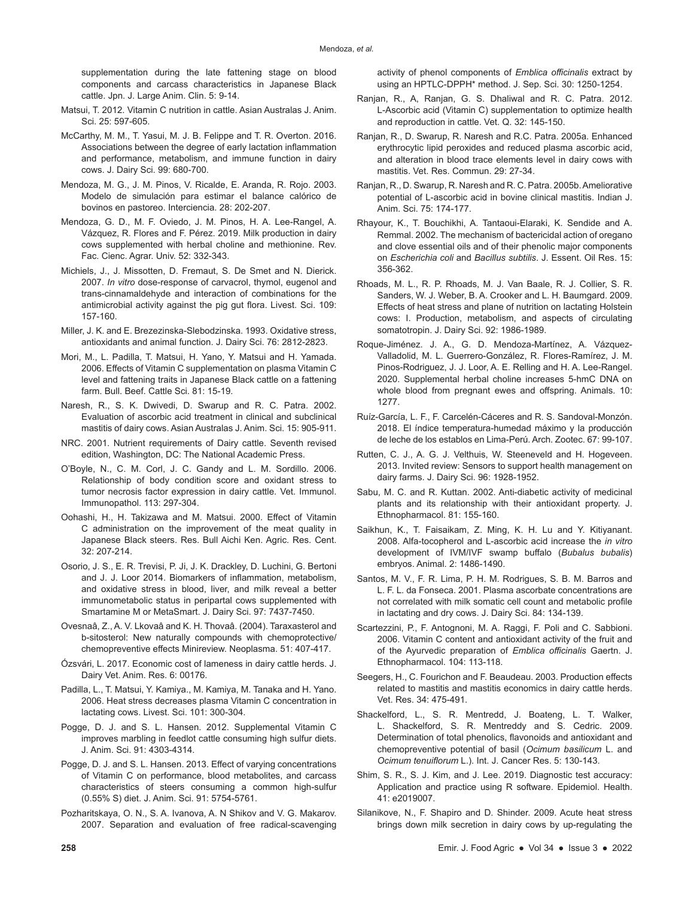supplementation during the late fattening stage on blood components and carcass characteristics in Japanese Black cattle. Jpn. J. Large Anim. Clin. 5: 9-14.

- Matsui, T. 2012. Vitamin C nutrition in cattle. Asian Australas J. Anim. Sci. 25: 597-605.
- McCarthy, M. M., T. Yasui, M. J. B. Felippe and T. R. Overton. 2016. Associations between the degree of early lactation inflammation and performance, metabolism, and immune function in dairy cows. J. Dairy Sci. 99: 680-700.
- Mendoza, M. G., J. M. Pinos, V. Ricalde, E. Aranda, R. Rojo. 2003. Modelo de simulación para estimar el balance calórico de bovinos en pastoreo. Interciencia. 28: 202-207.
- Mendoza, G. D., M. F. Oviedo, J. M. Pinos, H. A. Lee-Rangel, A. Vázquez, R. Flores and F. Pérez. 2019. Milk production in dairy cows supplemented with herbal choline and methionine. Rev. Fac. Cienc. Agrar. Univ. 52: 332-343.
- Michiels, J., J. Missotten, D. Fremaut, S. De Smet and N. Dierick. 2007. *In vitro* dose-response of carvacrol, thymol, eugenol and trans-cinnamaldehyde and interaction of combinations for the antimicrobial activity against the pig gut flora. Livest. Sci. 109: 157-160.
- Miller, J. K. and E. Brezezinska-Slebodzinska. 1993. Oxidative stress, antioxidants and animal function. J. Dairy Sci. 76: 2812-2823.
- Mori, M., L. Padilla, T. Matsui, H. Yano, Y. Matsui and H. Yamada. 2006. Effects of Vitamin C supplementation on plasma Vitamin C level and fattening traits in Japanese Black cattle on a fattening farm. Bull. Beef. Cattle Sci. 81: 15-19.
- Naresh, R., S. K. Dwivedi, D. Swarup and R. C. Patra. 2002. Evaluation of ascorbic acid treatment in clinical and subclinical mastitis of dairy cows. Asian Australas J. Anim. Sci. 15: 905-911.
- NRC. 2001. Nutrient requirements of Dairy cattle. Seventh revised edition, Washington, DC: The National Academic Press.
- O'Boyle, N., C. M. Corl, J. C. Gandy and L. M. Sordillo. 2006. Relationship of body condition score and oxidant stress to tumor necrosis factor expression in dairy cattle. Vet. Immunol. Immunopathol. 113: 297-304.
- Oohashi, H., H. Takizawa and M. Matsui. 2000. Effect of Vitamin C administration on the improvement of the meat quality in Japanese Black steers. Res. Bull Aichi Ken. Agric. Res. Cent. 32: 207-214.
- Osorio, J. S., E. R. Trevisi, P. Ji, J. K. Drackley, D. Luchini, G. Bertoni and J. J. Loor 2014. Biomarkers of inflammation, metabolism, and oxidative stress in blood, liver, and milk reveal a better immunometabolic status in peripartal cows supplemented with Smartamine M or MetaSmart. J. Dairy Sci. 97: 7437-7450.
- Ovesnaâ, Z., A. V. Lkovaâ and K. H. Thovaâ. (2004). Taraxasterol and b-sitosterol: New naturally compounds with chemoprotective/ chemopreventive effects Minireview. Neoplasma. 51: 407-417.
- Ózsvári, L. 2017. Economic cost of lameness in dairy cattle herds. J. Dairy Vet. Anim. Res. 6: 00176.
- Padilla, L., T. Matsui, Y. Kamiya., M. Kamiya, M. Tanaka and H. Yano. 2006. Heat stress decreases plasma Vitamin C concentration in lactating cows. Livest. Sci. 101: 300-304.
- Pogge, D. J. and S. L. Hansen. 2012. Supplemental Vitamin C improves marbling in feedlot cattle consuming high sulfur diets. J. Anim. Sci. 91: 4303-4314.
- Pogge, D. J. and S. L. Hansen. 2013. Effect of varying concentrations of Vitamin C on performance, blood metabolites, and carcass characteristics of steers consuming a common high-sulfur (0.55% S) diet. J. Anim. Sci. 91: 5754-5761.
- Pozharitskaya, O. N., S. A. Ivanova, A. N Shikov and V. G. Makarov. 2007. Separation and evaluation of free radical-scavenging

activity of phenol components of *Emblica officinalis* extract by using an HPTLC-DPPH\* method. J. Sep. Sci. 30: 1250-1254.

- Ranjan, R., A, Ranjan, G. S. Dhaliwal and R. C. Patra. 2012. L-Ascorbic acid (Vitamin C) supplementation to optimize health and reproduction in cattle. Vet. Q. 32: 145-150.
- Ranjan, R., D. Swarup, R. Naresh and R.C. Patra. 2005a. Enhanced erythrocytic lipid peroxides and reduced plasma ascorbic acid, and alteration in blood trace elements level in dairy cows with mastitis. Vet. Res. Commun. 29: 27-34.
- Ranjan, R., D. Swarup, R. Naresh and R. C. Patra. 2005b. Ameliorative potential of L-ascorbic acid in bovine clinical mastitis. Indian J. Anim. Sci. 75: 174-177.
- Rhayour, K., T. Bouchikhi, A. Tantaoui-Elaraki, K. Sendide and A. Remmal. 2002. The mechanism of bactericidal action of oregano and clove essential oils and of their phenolic major components on *Escherichia coli* and *Bacillus subtilis*. J. Essent. Oil Res. 15: 356-362.
- Rhoads, M. L., R. P. Rhoads, M. J. Van Baale, R. J. Collier, S. R. Sanders, W. J. Weber, B. A. Crooker and L. H. Baumgard. 2009. Effects of heat stress and plane of nutrition on lactating Holstein cows: I. Production, metabolism, and aspects of circulating somatotropin. J. Dairy Sci. 92: 1986-1989.
- Roque-Jiménez. J. A., G. D. Mendoza-Martínez, A. Vázquez-Valladolid, M. L. Guerrero-González, R. Flores-Ramírez, J. M. Pinos-Rodriguez, J. J. Loor, A. E. Relling and H. A. Lee-Rangel. 2020. Supplemental herbal choline increases 5-hmC DNA on whole blood from pregnant ewes and offspring. Animals. 10: 1277.
- Ruíz-García, L. F., F. Carcelén-Cáceres and R. S. Sandoval-Monzón. 2018. El índice temperatura-humedad máximo y la producción de leche de los establos en Lima-Perú. Arch. Zootec. 67: 99-107.
- Rutten, C. J., A. G. J. Velthuis, W. Steeneveld and H. Hogeveen. 2013. Invited review: Sensors to support health management on dairy farms. J. Dairy Sci. 96: 1928-1952.
- Sabu, M. C. and R. Kuttan. 2002. Anti-diabetic activity of medicinal plants and its relationship with their antioxidant property. J. Ethnopharmacol. 81: 155-160.
- Saikhun, K., T. Faisaikam, Z. Ming, K. H. Lu and Y. Kitiyanant. 2008. Alfa-tocopherol and L-ascorbic acid increase the *in vitro*  development of IVM/IVF swamp buffalo (*Bubalus bubalis*) embryos. Animal. 2: 1486-1490.
- Santos, M. V., F. R. Lima, P. H. M. Rodrigues, S. B. M. Barros and L. F. L. da Fonseca. 2001. Plasma ascorbate concentrations are not correlated with milk somatic cell count and metabolic profile in lactating and dry cows. J. Dairy Sci. 84: 134-139.
- Scartezzini, P., F. Antognoni, M. A. Raggi, F. Poli and C. Sabbioni. 2006. Vitamin C content and antioxidant activity of the fruit and of the Ayurvedic preparation of *Emblica officinalis* Gaertn. J. Ethnopharmacol. 104: 113-118.
- Seegers, H., C. Fourichon and F. Beaudeau. 2003. Production effects related to mastitis and mastitis economics in dairy cattle herds. Vet. Res. 34: 475-491.
- Shackelford, L., S. R. Mentredd, J. Boateng, L. T. Walker, L. Shackelford, S. R. Mentreddy and S. Cedric. 2009. Determination of total phenolics, flavonoids and antioxidant and chemopreventive potential of basil (*Ocimum basilicum* L. and *Ocimum tenuiflorum* L.). Int. J. Cancer Res. 5: 130-143.
- Shim, S. R., S. J. Kim, and J. Lee. 2019. Diagnostic test accuracy: Application and practice using R software. Epidemiol. Health. 41: e2019007.
- Silanikove, N., F. Shapiro and D. Shinder. 2009. Acute heat stress brings down milk secretion in dairy cows by up-regulating the